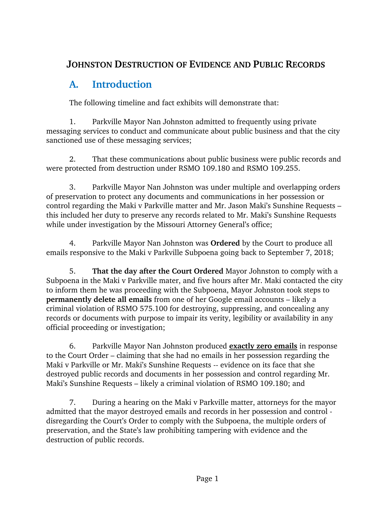## **JOHNSTON DESTRUCTION OF EVIDENCE AND PUBLIC RECORDS**

# **A. Introduction**

The following timeline and fact exhibits will demonstrate that:

1. Parkville Mayor Nan Johnston admitted to frequently using private messaging services to conduct and communicate about public business and that the city sanctioned use of these messaging services;

2. That these communications about public business were public records and were protected from destruction under RSMO 109.180 and RSMO 109.255.

3. Parkville Mayor Nan Johnston was under multiple and overlapping orders of preservation to protect any documents and communications in her possession or control regarding the Maki v Parkville matter and Mr. Jason Maki's Sunshine Requests – this included her duty to preserve any records related to Mr. Maki's Sunshine Requests while under investigation by the Missouri Attorney General's office;

4. Parkville Mayor Nan Johnston was **Ordered** by the Court to produce all emails responsive to the Maki v Parkville Subpoena going back to September 7, 2018;

5. **That the day after the Court Ordered** Mayor Johnston to comply with a Subpoena in the Maki v Parkville mater, and five hours after Mr. Maki contacted the city to inform them he was proceeding with the Subpoena, Mayor Johnston took steps to **permanently delete all emails** from one of her Google email accounts – likely a criminal violation of RSMO 575.100 for destroying, suppressing, and concealing any records or documents with purpose to impair its verity, legibility or availability in any official proceeding or investigation;

6. Parkville Mayor Nan Johnston produced **exactly zero emails** in response to the Court Order – claiming that she had no emails in her possession regarding the Maki v Parkville or Mr. Maki's Sunshine Requests -- evidence on its face that she destroyed public records and documents in her possession and control regarding Mr. Maki's Sunshine Requests – likely a criminal violation of RSMO 109.180; and

7. During a hearing on the Maki v Parkville matter, attorneys for the mayor admitted that the mayor destroyed emails and records in her possession and control disregarding the Court's Order to comply with the Subpoena, the multiple orders of preservation, and the State's law prohibiting tampering with evidence and the destruction of public records.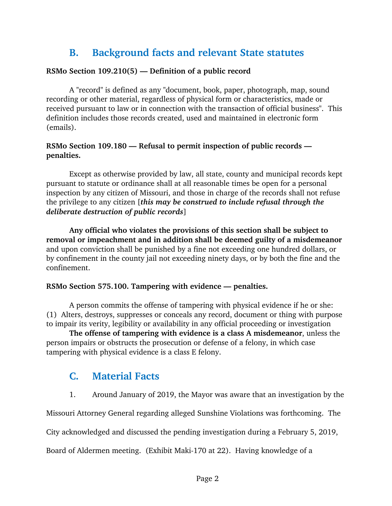## **B. Background facts and relevant State statutes**

#### **RSMo Section 109.210(5) — Definition of a public record**

A "record" is defined as any "document, book, paper, photograph, map, sound recording or other material, regardless of physical form or characteristics, made or received pursuant to law or in connection with the transaction of official business". This definition includes those records created, used and maintained in electronic form (emails).

#### **RSMo Section 109.180 — Refusal to permit inspection of public records penalties.**

Except as otherwise provided by law, all state, county and municipal records kept pursuant to statute or ordinance shall at all reasonable times be open for a personal inspection by any citizen of Missouri, and those in charge of the records shall not refuse the privilege to any citizen [*this may be construed to include refusal through the deliberate destruction of public records*]

**Any official who violates the provisions of this section shall be subject to removal or impeachment and in addition shall be deemed guilty of a misdemeanor** and upon conviction shall be punished by a fine not exceeding one hundred dollars, or by confinement in the county jail not exceeding ninety days, or by both the fine and the confinement.

#### **RSMo Section 575.100. Tampering with evidence — penalties.**

A person commits the offense of tampering with physical evidence if he or she: (1) Alters, destroys, suppresses or conceals any record, document or thing with purpose to impair its verity, legibility or availability in any official proceeding or investigation

**The offense of tampering with evidence is a class A misdemeanor**, unless the person impairs or obstructs the prosecution or defense of a felony, in which case tampering with physical evidence is a class E felony.

### **C. Material Facts**

1. Around January of 2019, the Mayor was aware that an investigation by the

Missouri Attorney General regarding alleged Sunshine Violations was forthcoming. The

City acknowledged and discussed the pending investigation during a February 5, 2019,

Board of Aldermen meeting. (Exhibit Maki-170 at 22). Having knowledge of a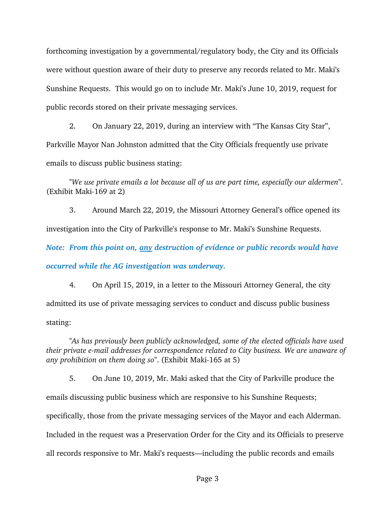forthcoming investigation by a governmental/regulatory body, the City and its Officials were without question aware of their duty to preserve any records related to Mr. Maki's Sunshine Requests. This would go on to include Mr. Maki's June 10, 2019, request for public records stored on their private messaging services.

2. On January 22, 2019, during an interview with "The Kansas City Star", Parkville Mayor Nan Johnston admitted that the City Officials frequently use private emails to discuss public business stating:

*"We use private emails a lot because all of us are part time, especially our aldermen"*. (Exhibit Maki-169 at 2)

3. Around March 22, 2019, the Missouri Attorney General's office opened its investigation into the City of Parkville's response to Mr. Maki's Sunshine Requests.

*Note: From this point on, any destruction of evidence or public records would have occurred while the AG investigation was underway.*

4. On April 15, 2019, in a letter to the Missouri Attorney General, the city admitted its use of private messaging services to conduct and discuss public business stating:

*"As has previously been publicly acknowledged, some of the elected officials have used their private e-mail addresses for correspondence related to City business. We are unaware of any prohibition on them doing so"*. (Exhibit Maki-165 at 5)

5. On June 10, 2019, Mr. Maki asked that the City of Parkville produce the emails discussing public business which are responsive to his Sunshine Requests; specifically, those from the private messaging services of the Mayor and each Alderman. Included in the request was a Preservation Order for the City and its Officials to preserve all records responsive to Mr. Maki's requests—including the public records and emails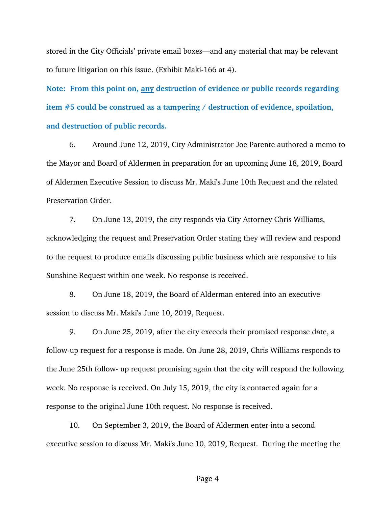stored in the City Officials' private email boxes—and any material that may be relevant to future litigation on this issue. (Exhibit Maki-166 at 4).

**Note: From this point on, any destruction of evidence or public records regarding item #5 could be construed as a tampering / destruction of evidence, spoilation, and destruction of public records.**

6. Around June 12, 2019, City Administrator Joe Parente authored a memo to the Mayor and Board of Aldermen in preparation for an upcoming June 18, 2019, Board of Aldermen Executive Session to discuss Mr. Maki's June 10th Request and the related Preservation Order.

7. On June 13, 2019, the city responds via City Attorney Chris Williams, acknowledging the request and Preservation Order stating they will review and respond to the request to produce emails discussing public business which are responsive to his Sunshine Request within one week. No response is received.

8. On June 18, 2019, the Board of Alderman entered into an executive session to discuss Mr. Maki's June 10, 2019, Request.

9. On June 25, 2019, after the city exceeds their promised response date, a follow-up request for a response is made. On June 28, 2019, Chris Williams responds to the June 25th follow- up request promising again that the city will respond the following week. No response is received. On July 15, 2019, the city is contacted again for a response to the original June 10th request. No response is received.

10. On September 3, 2019, the Board of Aldermen enter into a second executive session to discuss Mr. Maki's June 10, 2019, Request. During the meeting the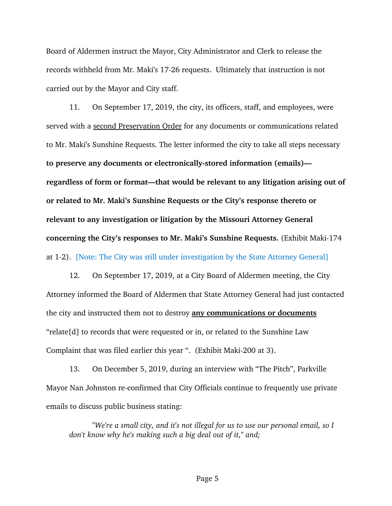Board of Aldermen instruct the Mayor, City Administrator and Clerk to release the records withheld from Mr. Maki's 17-26 requests. Ultimately that instruction is not carried out by the Mayor and City staff.

11. On September 17, 2019, the city, its officers, staff, and employees, were served with a second Preservation Order for any documents or communications related to Mr. Maki's Sunshine Requests. The letter informed the city to take all steps necessary **to preserve any documents or electronically-stored information (emails) regardless of form or format—that would be relevant to any litigation arising out of or related to Mr. Maki's Sunshine Requests or the City's response thereto or relevant to any investigation or litigation by the Missouri Attorney General concerning the City's responses to Mr. Maki's Sunshine Requests.** (Exhibit Maki-174 at 1-2). [Note: The City was still under investigation by the State Attorney General]

12. On September 17, 2019, at a City Board of Aldermen meeting, the City Attorney informed the Board of Aldermen that State Attorney General had just contacted the city and instructed them not to destroy **any communications or documents** "relate[d] to records that were requested or in, or related to the Sunshine Law Complaint that was filed earlier this year ". (Exhibit Maki-200 at 3).

13. On December 5, 2019, during an interview with "The Pitch", Parkville Mayor Nan Johnston re-confirmed that City Officials continue to frequently use private emails to discuss public business stating:

*"We're a small city, and it's not illegal for us to use our personal email, so I don't know why he's making such a big deal out of it," and;*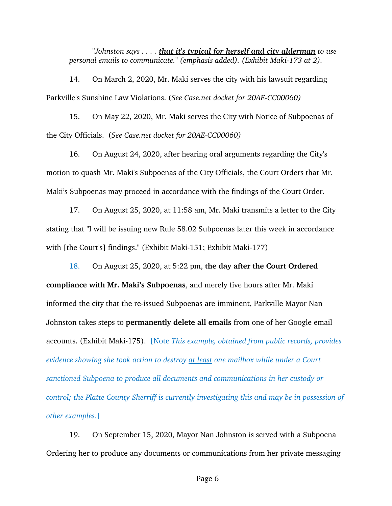*"Johnston says . . . . that it's typical for herself and city alderman to use personal emails to communicate." (emphasis added). (Exhibit Maki-173 at 2).*

14. On March 2, 2020, Mr. Maki serves the city with his lawsuit regarding Parkville's Sunshine Law Violations. (*See Case.net docket for 20AE-CC00060)*

15. On May 22, 2020, Mr. Maki serves the City with Notice of Subpoenas of the City Officials. (*See Case.net docket for 20AE-CC00060)*

16. On August 24, 2020, after hearing oral arguments regarding the City's motion to quash Mr. Maki's Subpoenas of the City Officials, the Court Orders that Mr. Maki's Subpoenas may proceed in accordance with the findings of the Court Order.

17. On August 25, 2020, at 11:58 am, Mr. Maki transmits a letter to the City stating that "I will be issuing new Rule 58.02 Subpoenas later this week in accordance with [the Court's] findings." (Exhibit Maki-151; Exhibit Maki-177)

18. On August 25, 2020, at 5:22 pm, **the day after the Court Ordered compliance with Mr. Maki's Subpoenas**, and merely five hours after Mr. Maki informed the city that the re-issued Subpoenas are imminent, Parkville Mayor Nan Johnston takes steps to **permanently delete all emails** from one of her Google email accounts. (Exhibit Maki-175). [Note *This example, obtained from public records, provides evidence showing she took action to destroy at least one mailbox while under a Court sanctioned Subpoena to produce all documents and communications in her custody or control; the Platte County Sherriff is currently investigating this and may be in possession of other examples.*]

19. On September 15, 2020, Mayor Nan Johnston is served with a Subpoena Ordering her to produce any documents or communications from her private messaging